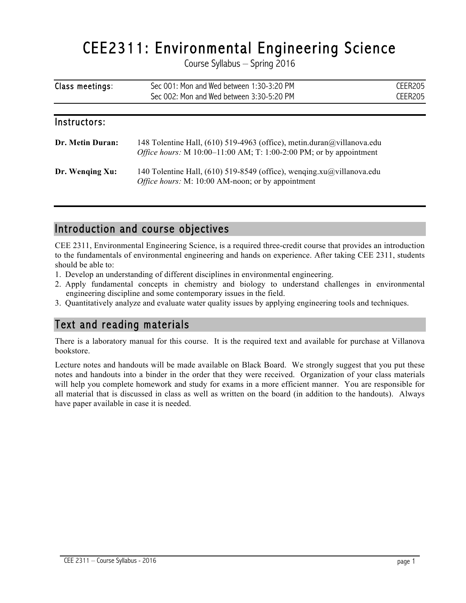# CEE2311: Environmental Engineering Science<br>Course Syllabus – Spring 2016

| Class meetings: | Sec 001: Mon and Wed between 1:30-3:20 PM | CEER205 |
|-----------------|-------------------------------------------|---------|
|                 | Sec 002: Mon and Wed between 3:30-5:20 PM | CEER205 |

| Instructors:            |                                                                                                                                                       |
|-------------------------|-------------------------------------------------------------------------------------------------------------------------------------------------------|
| <b>Dr. Metin Duran:</b> | 148 Tolentine Hall, (610) 519-4963 (office), metin.duran@villanova.edu<br><i>Office hours:</i> M $10:00-11:00$ AM; T: 1:00-2:00 PM; or by appointment |
| Dr. Wenging Xu:         | 140 Tolentine Hall, (610) 519-8549 (office), wenging.xu@villanova.edu<br><i>Office hours:</i> M: 10:00 AM-noon; or by appointment                     |

#### Introduction and course objectives

CEE 2311, Environmental Engineering Science, is a required three-credit course that provides an introduction to the fundamentals of environmental engineering and hands on experience. After taking CEE 2311, students should be able to:

- 1. Develop an understanding of different disciplines in environmental engineering.
- 2. Apply fundamental concepts in chemistry and biology to understand challenges in environmental engineering discipline and some contemporary issues in the field.
- 3. Quantitatively analyze and evaluate water quality issues by applying engineering tools and techniques.

#### Text and reading materials

There is a laboratory manual for this course. It is the required text and available for purchase at Villanova bookstore.

Lecture notes and handouts will be made available on Black Board. We strongly suggest that you put these notes and handouts into a binder in the order that they were received. Organization of your class materials will help you complete homework and study for exams in a more efficient manner. You are responsible for all material that is discussed in class as well as written on the board (in addition to the handouts). Always have paper available in case it is needed.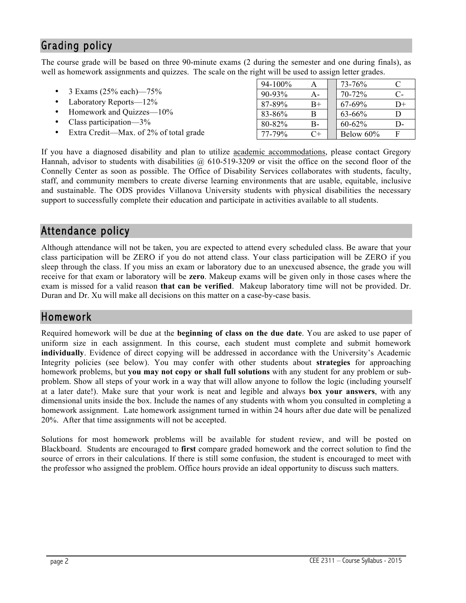## Grading policy

The course grade will be based on three 90-minute exams (2 during the semester and one during finals), as well as homework assignments and quizzes. The scale on the right will be used to assign letter grades.

|                                        | $94 - 100%$ | Α    | 73-76%      |      |
|----------------------------------------|-------------|------|-------------|------|
| 3 Exams $(25\% \text{ each})$ —75%     | $90 - 93%$  | A-   | 70-72%      | $C-$ |
| Laboratory Reports-12%                 | 87-89%      | $B+$ | 67-69%      | D+   |
| Homework and Quizzes—10%               | 83-86%      | B    | $63 - 66\%$ |      |
| Class participation— $3\%$             | 80-82%      | $B-$ | $60 - 62\%$ | D-   |
| Extra Credit—Max. of 2% of total grade | 77-79%      | $C+$ | Below 60%   |      |

If you have a diagnosed disability and plan to utilize academic accommodations, please contact Gregory Hannah, advisor to students with disabilities  $\omega$  610-519-3209 or visit the office on the second floor of the Connelly Center as soon as possible. The Office of Disability Services collaborates with students, faculty, staff, and community members to create diverse learning environments that are usable, equitable, inclusive and sustainable. The ODS provides Villanova University students with physical disabilities the necessary support to successfully complete their education and participate in activities available to all students.

#### Attendance policy

Although attendance will not be taken, you are expected to attend every scheduled class. Be aware that your class participation will be ZERO if you do not attend class. Your class participation will be ZERO if you sleep through the class. If you miss an exam or laboratory due to an unexcused absence, the grade you will receive for that exam or laboratory will be **zero**. Makeup exams will be given only in those cases where the exam is missed for a valid reason **that can be verified**. Makeup laboratory time will not be provided. Dr. Duran and Dr. Xu will make all decisions on this matter on a case-by-case basis.

#### Homework

Required homework will be due at the **beginning of class on the due date**. You are asked to use paper of uniform size in each assignment. In this course, each student must complete and submit homework **individually**. Evidence of direct copying will be addressed in accordance with the University's Academic Integrity policies (see below). You may confer with other students about **strategies** for approaching homework problems, but **you may not copy or shall full solutions** with any student for any problem or subproblem. Show all steps of your work in a way that will allow anyone to follow the logic (including yourself at a later date!). Make sure that your work is neat and legible and always **box your answers**, with any dimensional units inside the box. Include the names of any students with whom you consulted in completing a homework assignment. Late homework assignment turned in within 24 hours after due date will be penalized 20%. After that time assignments will not be accepted.

Solutions for most homework problems will be available for student review, and will be posted on Blackboard. Students are encouraged to **first** compare graded homework and the correct solution to find the source of errors in their calculations. If there is still some confusion, the student is encouraged to meet with the professor who assigned the problem. Office hours provide an ideal opportunity to discuss such matters.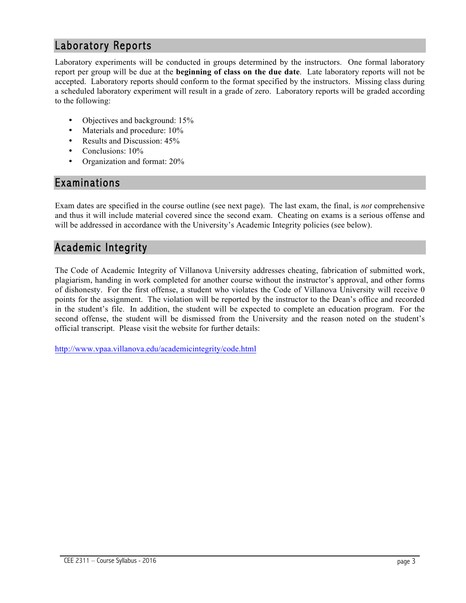#### Laboratory Reports

Laboratory experiments will be conducted in groups determined by the instructors. One formal laboratory report per group will be due at the **beginning of class on the due date**. Late laboratory reports will not be accepted. Laboratory reports should conform to the format specified by the instructors. Missing class during a scheduled laboratory experiment will result in a grade of zero. Laboratory reports will be graded according to the following:

- Objectives and background: 15%
- Materials and procedure:  $10\%$
- Results and Discussion: 45%
- Conclusions: 10%
- Organization and format: 20%

#### Examinations

Exam dates are specified in the course outline (see next page). The last exam, the final, is *not* comprehensive and thus it will include material covered since the second exam. Cheating on exams is a serious offense and will be addressed in accordance with the University's Academic Integrity policies (see below).

## Academic Integrity

The Code of Academic Integrity of Villanova University addresses cheating, fabrication of submitted work, plagiarism, handing in work completed for another course without the instructor's approval, and other forms of dishonesty. For the first offense, a student who violates the Code of Villanova University will receive 0 points for the assignment. The violation will be reported by the instructor to the Dean's office and recorded in the student's file. In addition, the student will be expected to complete an education program. For the second offense, the student will be dismissed from the University and the reason noted on the student's official transcript. Please visit the website for further details:

http://www.vpaa.villanova.edu/academicintegrity/code.html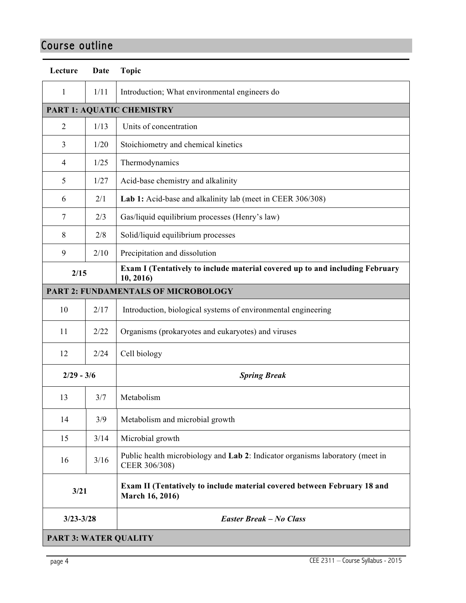# Course outline

| Lecture                             | Date                      | <b>Topic</b>                                                                                   |  |  |  |  |
|-------------------------------------|---------------------------|------------------------------------------------------------------------------------------------|--|--|--|--|
| 1                                   | 1/11                      | Introduction; What environmental engineers do                                                  |  |  |  |  |
|                                     | PART 1: AQUATIC CHEMISTRY |                                                                                                |  |  |  |  |
| $\overline{2}$                      | 1/13                      | Units of concentration                                                                         |  |  |  |  |
| 3                                   | 1/20                      | Stoichiometry and chemical kinetics                                                            |  |  |  |  |
| $\overline{4}$                      | 1/25                      | Thermodynamics                                                                                 |  |  |  |  |
| 5                                   | 1/27                      | Acid-base chemistry and alkalinity                                                             |  |  |  |  |
| 6                                   | 2/1                       | Lab 1: Acid-base and alkalinity lab (meet in CEER 306/308)                                     |  |  |  |  |
| 7                                   | 2/3                       | Gas/liquid equilibrium processes (Henry's law)                                                 |  |  |  |  |
| 8                                   | 2/8                       | Solid/liquid equilibrium processes                                                             |  |  |  |  |
| 9                                   | 2/10                      | Precipitation and dissolution                                                                  |  |  |  |  |
| 2/15                                |                           | Exam I (Tentatively to include material covered up to and including February<br>10, 2016)      |  |  |  |  |
| PART 2: FUNDAMENTALS OF MICROBOLOGY |                           |                                                                                                |  |  |  |  |
| 10                                  | 2/17                      | Introduction, biological systems of environmental engineering                                  |  |  |  |  |
| 11                                  | 2/22                      | Organisms (prokaryotes and eukaryotes) and viruses                                             |  |  |  |  |
| 12                                  | 2/24                      | Cell biology                                                                                   |  |  |  |  |
| $2/29 - 3/6$                        |                           | <b>Spring Break</b>                                                                            |  |  |  |  |
| 13                                  | 3/7                       | Metabolism                                                                                     |  |  |  |  |
| 14                                  | 3/9                       | Metabolism and microbial growth                                                                |  |  |  |  |
| 15                                  | 3/14                      | Microbial growth                                                                               |  |  |  |  |
| 16                                  | 3/16                      | Public health microbiology and Lab 2: Indicator organisms laboratory (meet in<br>CEER 306/308) |  |  |  |  |
| 3/21                                |                           | Exam II (Tentatively to include material covered between February 18 and<br>March 16, 2016)    |  |  |  |  |
| $3/23 - 3/28$                       |                           | <b>Easter Break – No Class</b>                                                                 |  |  |  |  |
| <b>PART 3: WATER QUALITY</b>        |                           |                                                                                                |  |  |  |  |